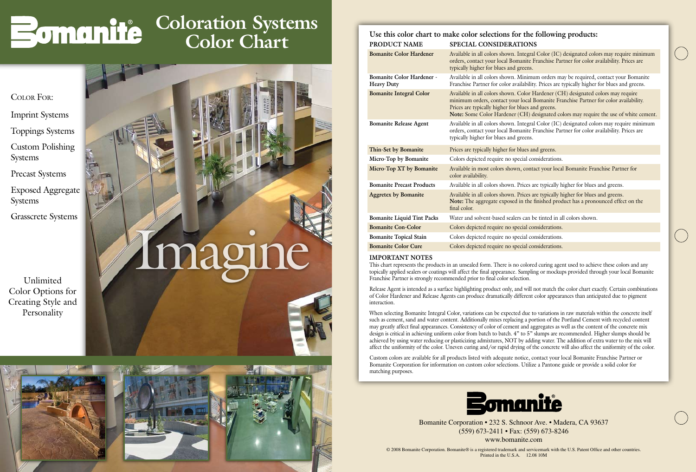© 2008 Bomanite Corporation. Bomanite® is a registered trademark and servicemark with the U.S. Patent Office and other countries. Printed in the U.S.A. 12.08 10M



Bomanite Corporation • 232 S. Schnoor Ave. • Madera, CA 93637 (559) 673-2411 • Fax: (559) 673-8246

www.bomanite.com

**Micro-Top XT by Bomanite** Available in most colors shown, contact your local Bomanite Franchise Partner for color availability. **Bomanite Precast Products** Available in all colors shown. Prices are typically higher for blues and greens. **Aggretex by Bomanite** Available in all colors shown. Prices are typically higher for blues and greens. **Note:** The aggregate exposed in the finished product has a pronounced effect on the final color. **Bomanite Liquid Tint Packs** Water and solvent-based sealers can be tinted in all colors shown. **Bomanite Con-Color** Colors depicted require no special considerations. **Bomanite Topical Stain** Colors depicted require no special considerations. **Bomanite Color Cure** Colors depicted require no special considerations.

| PRODUCT NAME                                          | Use this color chart to make color selections for the following products:<br>SPECIAL CONSIDERATIONS                                                                                                                                                                                                                    |
|-------------------------------------------------------|------------------------------------------------------------------------------------------------------------------------------------------------------------------------------------------------------------------------------------------------------------------------------------------------------------------------|
| <b>Bomanite Color Hardener</b>                        | Available in all colors shown. Integral Color (IC) designated colors may require minimum<br>orders, contact your local Bomanite Franchise Partner for color availability. Prices are<br>typically higher for blues and greens.                                                                                         |
| <b>Bomanite Color Hardener -</b><br><b>Heavy Duty</b> | Available in all colors shown. Minimum orders may be required, contact your Bomanite<br>Franchise Partner for color availability. Prices are typically higher for blues and greens.                                                                                                                                    |
| <b>Bomanite Integral Color</b>                        | Available in all colors shown. Color Hardener (CH) designated colors may require<br>minimum orders, contact your local Bomanite Franchise Partner for color availability.<br>Prices are typically higher for blues and greens.<br>Note: Some Color Hardener (CH) designated colors may require the use of white cement |
| <b>Bomanite Release Agent</b>                         | Available in all colors shown. Integral Color (IC) designated colors may require minimum<br>orders, contact your local Bomanite Franchise Partner for color availability. Prices are<br>typically higher for blues and greens.                                                                                         |
| Thin-Set by Bomanite                                  | Prices are typically higher for blues and greens.                                                                                                                                                                                                                                                                      |
| Micro-Top by Bomanite                                 | Colors depicted require no special considerations.                                                                                                                                                                                                                                                                     |

## **IMPORTANT NOTES**

This chart represents the products in an unsealed form. There is no colored curing agent used to achieve these colors and any topically applied sealers or coatings will affect the final appearance. Sampling or mockups provided through your local Bomanite Franchise Partner is strongly recommended prior to final color selection.

Release Agent is intended as a surface highlighting product only, and will not match the color chart exactly. Certain combinations of Color Hardener and Release Agents can produce dramatically different color appearances than anticipated due to pigment interaction.

When selecting Bomanite Integral Color, variations can be expected due to variations in raw materials within the concrete itself such as cement, sand and water content. Additionally mixes replacing a portion of the Portland Cement with recycled content may greatly affect final appearances. Consistency of color of cement and aggregates as well as the content of the concrete mix design is critical in achieving uniform color from batch to batch. 4" to 5" slumps are recommended. Higher slumps should be achieved by using water reducing or plasticizing admixtures, NOT by adding water. The addition of extra water to the mix will affect the uniformity of the color. Uneven curing and/or rapid drying of the concrete will also affect the uniformity of the color.

Custom colors are available for all products listed with adequate notice, contact your local Bomanite Franchise Partner or Bomanite Corporation for information on custom color selections. Utilize a Pantone guide or provide a solid color for matching purposes.



Unlimited Color Options for Creating Style and Personality

Color For:

Imprint Systems Toppings Systems

Custom Polishing Systems

Precast Systems

Exposed Aggregate Systems

Grasscrete Systems





## **Coloration Systems Color Chart**